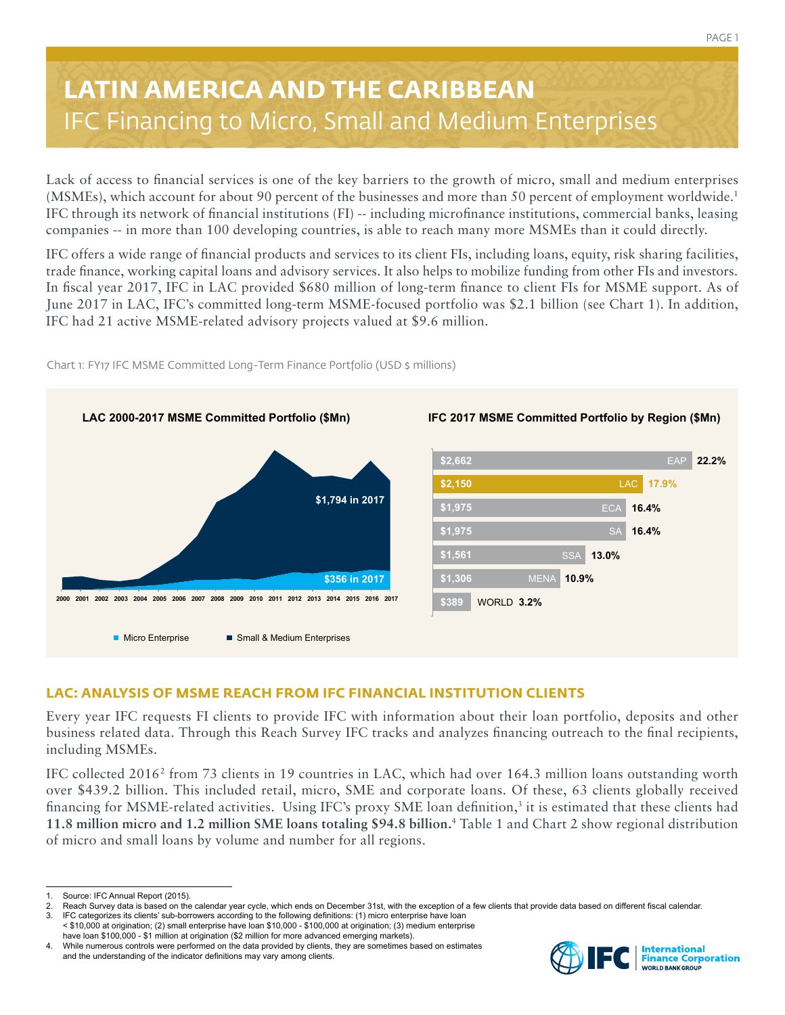# **LATIN AMERICA AND THE CARIBBEAN** IFC Financing to Micro, Small and Medium Enterprises

Lack of access to financial services is one of the key barriers to the growth of micro, small and medium enterprises (MSMEs), which account for about 90 percent of the businesses and more than 50 percent of employment worldwide.1 IFC through its network of financial institutions (FI) -- including microfinance institutions, commercial banks, leasing companies -- in more than 100 developing countries, is able to reach many more MSMEs than it could directly.

IFC offers a wide range of financial products and services to its client FIs, including loans, equity, risk sharing facilities, trade finance, working capital loans and advisory services. It also helps to mobilize funding from other FIs and investors. In fiscal year 2017, IFC in LAC provided \$680 million of long-term finance to client FIs for MSME support. As of June 2017 in LAC, IFC's committed long-term MSME-focused portfolio was \$2.1 billion (see Chart 1). In addition, IFC had 21 active MSME-related advisory projects valued at \$9.6 million.



Chart 1: FY17 IFC MSME Committed Long-Term Finance Portfolio (USD \$ millions)

# **LAC: ANALYSIS OF MSME REACH FROM IFC FINANCIAL INSTITUTION CLIENTS**

Every year IFC requests FI clients to provide IFC with information about their loan portfolio, deposits and other business related data. Through this Reach Survey IFC tracks and analyzes financing outreach to the final recipients, including MSMEs.

IFC collected 2016<sup>2</sup> from 73 clients in 19 countries in LAC, which had over 164.3 million loans outstanding worth over \$439.2 billion. This included retail, micro, SME and corporate loans. Of these, 63 clients globally received financing for MSME-related activities. Using IFC's proxy SME loan definition,<sup>3</sup> it is estimated that these clients had **11.8 million micro and 1.2 million SME loans totaling \$94.8 billion.**<sup>4</sup> Table 1 and Chart 2 show regional distribution of micro and small loans by volume and number for all regions.



<sup>1.</sup> Source: IFC Annual Report (2015).<br>2. Reach Survey data is based on the

Reach Survey data is based on the calendar year cycle, which ends on December 31st, with the exception of a few clients that provide data based on different fiscal calendar. 3. IFC categorizes its clients' sub-borrowers according to the following definitions: (1) micro enterprise have loan

<sup>&</sup>lt; \$10,000 at origination; (2) small enterprise have loan \$10,000 - \$100,000 at origination; (3) medium enterprise have loan \$100,000 - \$1 million at origination (\$2 million for more advanced emerging markets).

<sup>4.</sup> While numerous controls were performed on the data provided by clients, they are sometimes based on estimates and the understanding of the indicator definitions may vary among clients.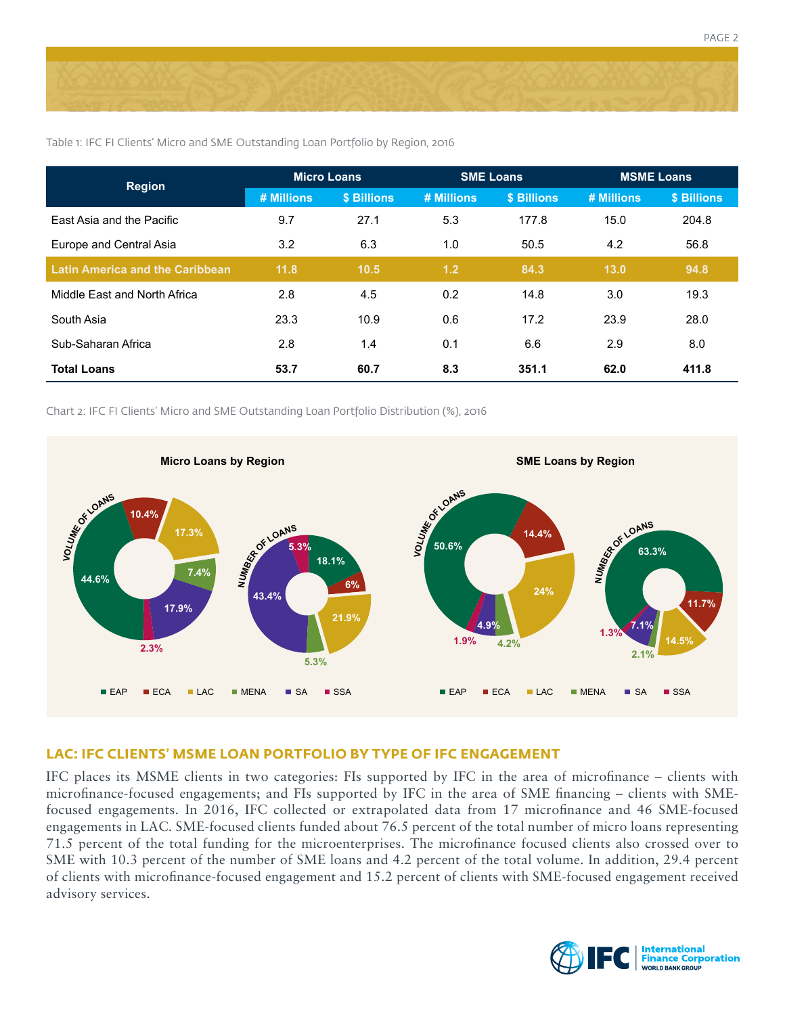

| <b>Region</b>                          | <b>Micro Loans</b> |             | <b>SME Loans</b> |             | <b>MSME Loans</b> |             |
|----------------------------------------|--------------------|-------------|------------------|-------------|-------------------|-------------|
|                                        | # Millions         | \$ Billions | # Millions       | \$ Billions | # Millions        | \$ Billions |
| East Asia and the Pacific              | 9.7                | 27.1        | 5.3              | 177.8       | 15.0              | 204.8       |
| Europe and Central Asia                | 3.2                | 6.3         | 1.0              | 50.5        | 4.2               | 56.8        |
| <b>Latin America and the Caribbean</b> | 11.8               | 10.5        | 1.2              | 84.3        | 13.0              | 94.8        |
| Middle Fast and North Africa           | 2.8                | 4.5         | 0.2              | 14.8        | 3.0               | 19.3        |
| South Asia                             | 23.3               | 10.9        | 0.6              | 17.2        | 23.9              | 28.0        |
| Sub-Saharan Africa                     | 2.8                | 1.4         | 0.1              | 6.6         | 2.9               | 8.0         |
| <b>Total Loans</b>                     | 53.7               | 60.7        | 8.3              | 351.1       | 62.0              | 411.8       |

Table 1: IFC FI Clients' Micro and SME Outstanding Loan Portfolio by Region, 2016

Chart 2: IFC FI Clients' Micro and SME Outstanding Loan Portfolio Distribution (%), 2016



#### **LAC: IFC CLIENTS' MSME LOAN PORTFOLIO BY TYPE OF IFC ENGAGEMENT**

IFC places its MSME clients in two categories: FIs supported by IFC in the area of microfinance – clients with microfinance-focused engagements; and FIs supported by IFC in the area of SME financing – clients with SMEfocused engagements. In 2016, IFC collected or extrapolated data from 17 microfinance and 46 SME-focused engagements in LAC. SME-focused clients funded about 76.5 percent of the total number of micro loans representing 71.5 percent of the total funding for the microenterprises. The microfinance focused clients also crossed over to SME with 10.3 percent of the number of SME loans and 4.2 percent of the total volume. In addition, 29.4 percent of clients with microfinance-focused engagement and 15.2 percent of clients with SME-focused engagement received advisory services.

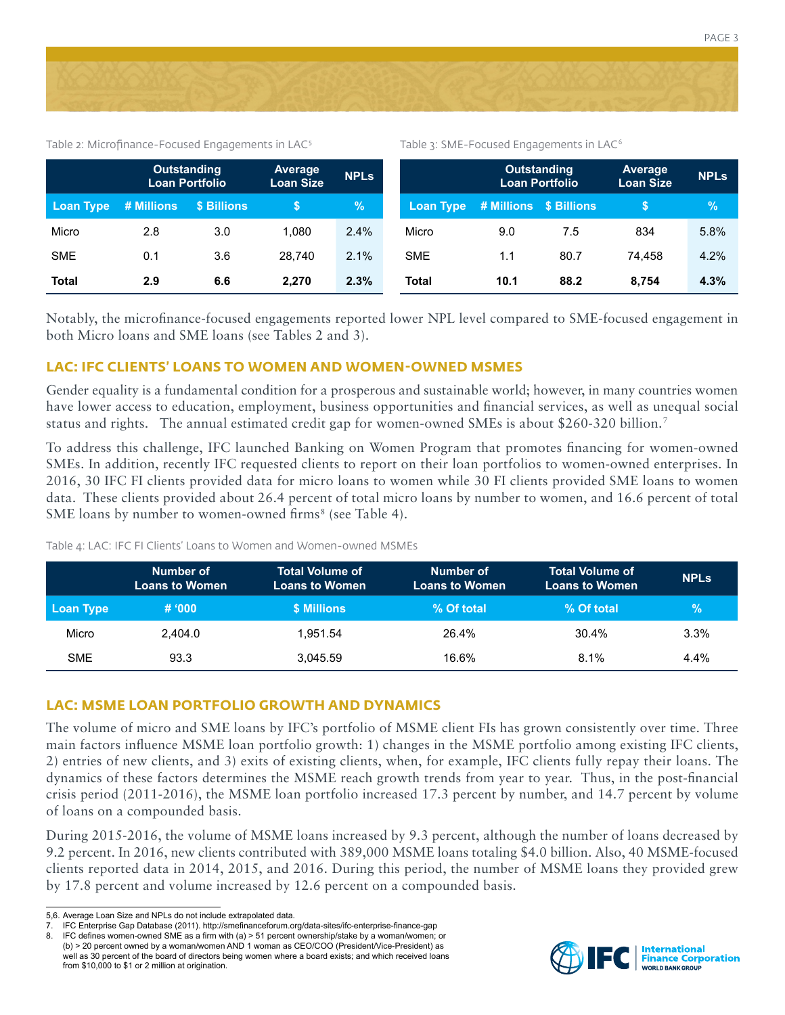

Table 2: Microfinance-Focused Engagements in  $LAC<sup>5</sup>$  Table 3: SME-Focused Engagements in  $LAC<sup>6</sup>$ 

|                  | <b>Outstanding</b><br><b>Loan Portfolio</b> |             | Average<br><b>Loan Size</b> | <b>NPLS</b> |              | <b>Outstanding</b><br><b>Loan Portfolio</b> |      | <b>Average</b><br><b>Loan Size</b> | <b>NPLs</b> |
|------------------|---------------------------------------------|-------------|-----------------------------|-------------|--------------|---------------------------------------------|------|------------------------------------|-------------|
| <b>Loan Type</b> | # Millions                                  | \$ Billions |                             | $\sqrt{2}$  |              | Loan Type # Millions \$ Billions            |      |                                    | $\%$        |
| Micro            | 2.8                                         | 3.0         | 1.080                       | 2.4%        | Micro        | 9.0                                         | 7.5  | 834                                | 5.8%        |
| <b>SME</b>       | 0.1                                         | 3.6         | 28.740                      | 2.1%        | <b>SME</b>   | 1.1                                         | 80.7 | 74.458                             | 4.2%        |
| <b>Total</b>     | 2.9                                         | 6.6         | 2.270                       | 2.3%        | <b>Total</b> | 10.1                                        | 88.2 | 8.754                              | 4.3%        |

Notably, the microfinance-focused engagements reported lower NPL level compared to SME-focused engagement in both Micro loans and SME loans (see Tables 2 and 3).

### **LAC: IFC CLIENTS' LOANS TO WOMEN AND WOMEN-OWNED MSMES**

Gender equality is a fundamental condition for a prosperous and sustainable world; however, in many countries women have lower access to education, employment, business opportunities and financial services, as well as unequal social status and rights. The annual estimated credit gap for women-owned SMEs is about \$260-320 billion.7

To address this challenge, IFC launched Banking on Women Program that promotes financing for women-owned SMEs. In addition, recently IFC requested clients to report on their loan portfolios to women-owned enterprises. In 2016, 30 IFC FI clients provided data for micro loans to women while 30 FI clients provided SME loans to women data. These clients provided about 26.4 percent of total micro loans by number to women, and 16.6 percent of total SME loans by number to women-owned firms<sup>8</sup> (see Table 4).

Table 4: LAC: IFC FI Clients' Loans to Women and Women-owned MSMEs

|            | Number of<br><b>Loans to Women</b> | <b>Total Volume of</b><br><b>Loans to Women</b> | Number of<br><b>Loans to Women</b> | <b>Total Volume of</b><br><b>Loans to Women</b> | <b>NPLS</b> |
|------------|------------------------------------|-------------------------------------------------|------------------------------------|-------------------------------------------------|-------------|
| Loan Type  | # '000                             | <b>\$ Millions</b>                              | % Of total                         | % Of total                                      | $\%$        |
| Micro      | 2.404.0                            | 1.951.54                                        | 26.4%                              | 30.4%                                           | 3.3%        |
| <b>SME</b> | 93.3                               | 3.045.59                                        | 16.6%                              | 8.1%                                            | $4.4\%$     |

## **LAC: MSME LOAN PORTFOLIO GROWTH AND DYNAMICS**

The volume of micro and SME loans by IFC's portfolio of MSME client FIs has grown consistently over time. Three main factors influence MSME loan portfolio growth: 1) changes in the MSME portfolio among existing IFC clients, 2) entries of new clients, and 3) exits of existing clients, when, for example, IFC clients fully repay their loans. The dynamics of these factors determines the MSME reach growth trends from year to year. Thus, in the post-financial crisis period (2011-2016), the MSME loan portfolio increased 17.3 percent by number, and 14.7 percent by volume of loans on a compounded basis.

During 2015-2016, the volume of MSME loans increased by 9.3 percent, although the number of loans decreased by 9.2 percent. In 2016, new clients contributed with 389,000 MSME loans totaling \$4.0 billion. Also, 40 MSME-focused clients reported data in 2014, 2015, and 2016. During this period, the number of MSME loans they provided grew by 17.8 percent and volume increased by 12.6 percent on a compounded basis.



<sup>5,6.</sup> Average Loan Size and NPLs do not include extrapolated data.<br>7. IEC Enterprise Gan Database (2011) http://smefinanceforum.org

IFC Enterprise Gap Database (2011). http://smefinanceforum.org/data-sites/ifc-enterprise-finance-gap

<sup>8.</sup> IFC defines women-owned SME as a firm with (a) > 51 percent ownership/stake by a woman/women; or (b) > 20 percent owned by a woman/women AND 1 woman as CEO/COO (President/Vice-President) as well as 30 percent of the board of directors being women where a board exists; and which received loans from \$10,000 to \$1 or 2 million at origination.